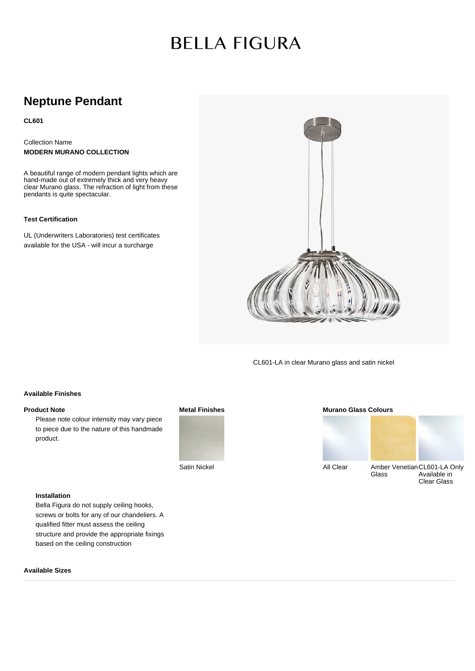# **BELLA FIGURA**

### **Neptune Pendant**

**CL601**

Collection Name **MODERN MURANO COLLECTION**

A beautiful range of modern pendant lights which are hand-made out of extremely thick and very heavy clear Murano glass. The refraction of light from these pendants is quite spectacular.

#### **Test Certification**

UL (Underwriters Laboratories) test certificates available for the USA - will incur a surcharge



CL601-LA in clear Murano glass and satin nickel

#### **Available Finishes**

#### **Product Note**

Please note colour intensity may vary piece to piece due to the nature of this handmade product.



#### **Murano Glass Colours**



Glass

All Clear Amber Venetian CL601-LA Only Available in

Clear Glass

#### **Installation**

Bella Figura do not supply ceiling hooks, screws or bolts for any of our chandeliers. A qualified fitter must assess the ceiling structure and provide the appropriate fixings based on the ceiling construction

#### **Available Sizes**